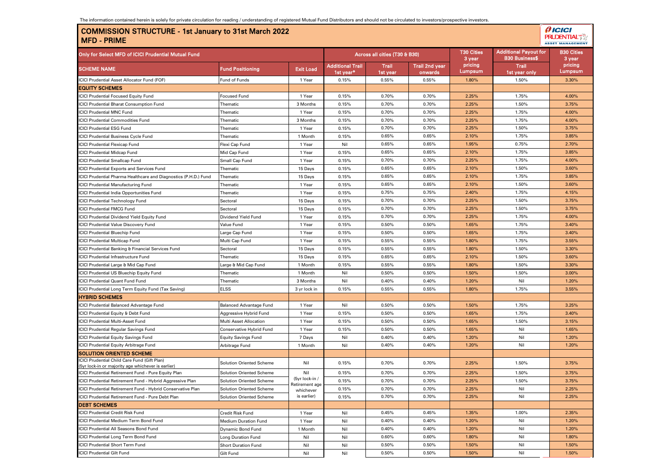## COMMISSION STRUCTURE - 1st January to 31st March 2022 MFD - PRIME

| ۔<br>9.               |
|-----------------------|
| ≁<br>ш                |
| <b>MANAGEMEN</b><br>т |

| Only for Select MFD of ICICI Prudential Mutual Fund                                               |                                 |                             |                                      | Across all cities (T30 & B30) |                                  | <b>T30 Cities</b><br>3 year | <b>Additional Payout for</b><br><b>B30 Business\$</b> | <b>B30 Cities</b><br>3 year |
|---------------------------------------------------------------------------------------------------|---------------------------------|-----------------------------|--------------------------------------|-------------------------------|----------------------------------|-----------------------------|-------------------------------------------------------|-----------------------------|
| <b>SCHEME NAME</b>                                                                                | <b>Fund Positioning</b>         | <b>Exit Load</b>            | <b>Additional Trail</b><br>1st year* | Trail<br>1st year             | <b>Trail 2nd year</b><br>onwards | pricing<br>Lumpsum          | <b>Trail</b><br>1st year only                         | pricing<br>Lumpsum          |
| ICICI Prudential Asset Allocator Fund (FOF)                                                       | Fund of Funds                   | 1 Year                      | 0.15%                                | 0.55%                         | 0.55%                            | 1.80%                       | 1.50%                                                 | 3.30%                       |
| <b>EQUITY SCHEMES</b>                                                                             |                                 |                             |                                      |                               |                                  |                             |                                                       |                             |
| CICI Prudential Focused Equity Fund                                                               | <b>Focused Fund</b>             | 1 Year                      | 0.15%                                | 0.70%                         | 0.70%                            | 2.25%                       | 1.75%                                                 | 4.00%                       |
| <b>CICI Prudential Bharat Consumption Fund</b>                                                    | Thematic                        | 3 Months                    | 0.15%                                | 0.70%                         | 0.70%                            | 2.25%                       | 1.50%                                                 | 3.75%                       |
| CICI Prudential MNC Fund                                                                          | Thematic                        | 1 Year                      | 0.15%                                | 0.70%                         | 0.70%                            | 2.25%                       | 1.75%                                                 | 4.00%                       |
| CICI Prudential Commodities Fund                                                                  | Thematic                        | 3 Months                    | 0.15%                                | 0.70%                         | 0.70%                            | 2.25%                       | 1.75%                                                 | 4.00%                       |
| CICI Prudential ESG Fund                                                                          | Thematic                        | 1 Year                      | 0.15%                                | 0.70%                         | 0.70%                            | 2.25%                       | 1.50%                                                 | 3.75%                       |
| <b>CICI Prudential Business Cycle Fund</b>                                                        | Thematic                        | 1 Month                     | 0.15%                                | 0.65%                         | 0.65%                            | 2.10%                       | 1.75%                                                 | 3.85%                       |
| CICI Prudential Flexicap Fund                                                                     | Flexi Cap Fund                  | 1 Year                      | Nil                                  | 0.65%                         | 0.65%                            | 1.95%                       | 0.75%                                                 | 2.70%                       |
| <b>CICI Prudential Midcap Fund</b>                                                                | Mid Cap Fund                    | 1 Year                      | 0.15%                                | 0.65%                         | 0.65%                            | 2.10%                       | 1.75%                                                 | 3.85%                       |
| CICI Prudential Smallcap Fund                                                                     | Small Cap Fund                  | 1 Year                      | 0.15%                                | 0.70%                         | 0.70%                            | 2.25%                       | 1.75%                                                 | 4.00%                       |
| CICI Prudential Exports and Services Fund                                                         | Thematic                        | 15 Days                     | 0.15%                                | 0.65%                         | 0.65%                            | 2.10%                       | 1.50%                                                 | 3.60%                       |
| CICI Prudential Pharma Healthcare and Diagnostics (P.H.D.) Fund                                   | Thematic                        | 15 Days                     | 0.15%                                | 0.65%                         | 0.65%                            | 2.10%                       | 1.75%                                                 | 3.85%                       |
| CICI Prudential Manufacturing Fund                                                                | Thematic                        | 1 Year                      | 0.15%                                | 0.65%                         | 0.65%                            | 2.10%                       | 1.50%                                                 | 3.60%                       |
| CICI Prudential India Opportunities Fund                                                          | Thematic                        | 1 Year                      | 0.15%                                | 0.75%                         | 0.75%                            | 2.40%                       | 1.75%                                                 | 4.15%                       |
| CICI Prudential Technology Fund                                                                   | Sectoral                        | 15 Days                     | 0.15%                                | 0.70%                         | 0.70%                            | 2.25%                       | 1.50%                                                 | 3.75%                       |
| <b>CICI Prudential FMCG Fund</b>                                                                  | Sectoral                        | 15 Days                     | 0.15%                                | 0.70%                         | 0.70%                            | 2.25%                       | 1.50%                                                 | 3.75%                       |
| CICI Prudential Dividend Yield Equity Fund                                                        | Dividend Yield Fund             | 1 Year                      | 0.15%                                | 0.70%                         | 0.70%                            | 2.25%                       | 1.75%                                                 | 4.00%                       |
| CICI Prudential Value Discovery Fund                                                              | Value Fund                      | 1 Year                      | 0.15%                                | 0.50%                         | 0.50%                            | 1.65%                       | 1.75%                                                 | 3.40%                       |
| <b>CICI Prudential Bluechip Fund</b>                                                              | Large Cap Fund                  | 1 Year                      | 0.15%                                | 0.50%                         | 0.50%                            | 1.65%                       | 1.75%                                                 | 3.40%                       |
| <b>CICI Prudential Multicap Fund</b>                                                              | Multi Cap Fund                  | 1 Year                      | 0.15%                                | 0.55%                         | 0.55%                            | 1.80%                       | 1.75%                                                 | 3.55%                       |
| CICI Prudential Banking & Financial Services Fund                                                 | Sectoral                        | 15 Days                     | 0.15%                                | 0.55%                         | 0.55%                            | 1.80%                       | 1.50%                                                 | 3.30%                       |
| <b>ICICI Prudential Infrastructure Fund</b>                                                       | Thematic                        | 15 Days                     | 0.15%                                | 0.65%                         | 0.65%                            | 2.10%                       | 1.50%                                                 | 3.60%                       |
| CICI Prudential Large & Mid Cap Fund                                                              | Large & Mid Cap Fund            | 1 Month                     | 0.15%                                | 0.55%                         | 0.55%                            | 1.80%                       | 1.50%                                                 | 3.30%                       |
| CICI Prudential US Bluechip Equity Fund                                                           | Thematic                        | 1 Month                     | Nil                                  | 0.50%                         | 0.50%                            | 1.50%                       | 1.50%                                                 | 3.00%                       |
| <b>CICI Prudential Quant Fund Fund</b>                                                            | Thematic                        | 3 Months                    | Nil                                  | 0.40%                         | 0.40%                            | 1.20%                       | Nil                                                   | 1.20%                       |
| CICI Prudential Long Term Equity Fund (Tax Saving)                                                | <b>ELSS</b>                     | 3 yr lock in                | 0.15%                                | 0.55%                         | 0.55%                            | 1.80%                       | 1.75%                                                 | 3.55%                       |
| <b>HYBRID SCHEMES</b>                                                                             |                                 |                             |                                      |                               |                                  |                             |                                                       |                             |
| CICI Prudential Balanced Advantage Fund                                                           | <b>Balanced Advantage Fund</b>  | 1 Year                      | Nil                                  | 0.50%                         | 0.50%                            | 1.50%                       | 1.75%                                                 | 3.25%                       |
| CICI Prudential Equity & Debt Fund                                                                | Aggressive Hybrid Fund          | 1 Year                      | 0.15%                                | 0.50%                         | 0.50%                            | 1.65%                       | 1.75%                                                 | 3.40%                       |
| CICI Prudential Multi-Asset Fund                                                                  | Multi Asset Allocation          | 1 Year                      | 0.15%                                | 0.50%                         | 0.50%                            | 1.65%                       | 1.50%                                                 | 3.15%                       |
| CICI Prudential Regular Savings Fund                                                              | Conservative Hybrid Fund        | 1 Year                      | 0.15%                                | 0.50%                         | 0.50%                            | 1.65%                       | Nil                                                   | 1.65%                       |
| CICI Prudential Equity Savings Fund                                                               | <b>Equity Savings Fund</b>      | 7 Days                      | Nil                                  | 0.40%                         | 0.40%                            | 1.20%                       | Nil                                                   | 1.20%                       |
| <b>ICICI Prudential Equity Arbitrage Fund</b>                                                     | Arbitrage Fund                  | 1 Month                     | Nil                                  | 0.40%                         | 0.40%                            | 1.20%                       | Nil                                                   | 1.20%                       |
| <b>SOLUTION ORIENTED SCHEME</b>                                                                   |                                 |                             |                                      |                               |                                  |                             |                                                       |                             |
| CICI Prudential Child Care Fund (Gift Plan)<br>(5yr lock-in or majority age whichever is earlier) | Solution Oriented Scheme        | Nil                         | 0.15%                                | 0.70%                         | 0.70%                            | 2.25%                       | 1.50%                                                 | 3.75%                       |
| ICICI Prudential Retirement Fund - Pure Equity Plan                                               | <b>Solution Oriented Scheme</b> | Nil                         | 0.15%                                | 0.70%                         | 0.70%                            | 2.25%                       | 1.50%                                                 | 3.75%                       |
| ICICI Prudential Retirement Fund - Hybrid Aggressive Plan                                         | <b>Solution Oriented Scheme</b> | (5yr lock-in /              | 0.15%                                | 0.70%                         | 0.70%                            | 2.25%                       | 1.50%                                                 | 3.75%                       |
| CICI Prudential Retirement Fund - Hybrid Conservative Plan                                        | <b>Solution Oriented Scheme</b> | Retirement age<br>whichever | 0.15%                                | 0.70%                         | 0.70%                            | 2.25%                       | Nil                                                   | 2.25%                       |
| ICICI Prudential Retirement Fund - Pure Debt Plan                                                 | Solution Oriented Scheme        | is earlier)                 | 0.15%                                | 0.70%                         | 0.70%                            | 2.25%                       | Nil                                                   | 2.25%                       |
| <b>DEBT SCHEMES</b>                                                                               |                                 |                             |                                      |                               |                                  |                             |                                                       |                             |
| <b>ICICI Prudential Credit Risk Fund</b>                                                          | Credit Risk Fund                | 1 Year                      | Nil                                  | 0.45%                         | 0.45%                            | 1.35%                       | 1.00%                                                 | 2.35%                       |
| CICI Prudential Medium Term Bond Fund                                                             | Medium Duration Fund            | 1 Year                      | Nil                                  | 0.40%                         | 0.40%                            | 1.20%                       | Nil                                                   | 1.20%                       |
| CICI Prudential All Seasons Bond Fund                                                             | Dynamic Bond Fund               | 1 Month                     | Nil                                  | 0.40%                         | 0.40%                            | 1.20%                       | Nil                                                   | 1.20%                       |
| CICI Prudential Long Term Bond Fund                                                               | Long Duration Fund              | Nil                         | Nil                                  | 0.60%                         | 0.60%                            | 1.80%                       | Nil                                                   | 1.80%                       |
| <b>CICI Prudential Short Term Fund</b>                                                            | <b>Short Duration Fund</b>      | Nil                         | Nil                                  | 0.50%                         | 0.50%                            | 1.50%                       | Nil                                                   | 1.50%                       |
| <b>ICICI Prudential Gilt Fund</b>                                                                 | Gilt Fund                       | Nil                         | Nil                                  | 0.50%                         | 0.50%                            | 1.50%                       | Nil                                                   | 1.50%                       |
|                                                                                                   |                                 |                             |                                      |                               |                                  |                             |                                                       |                             |